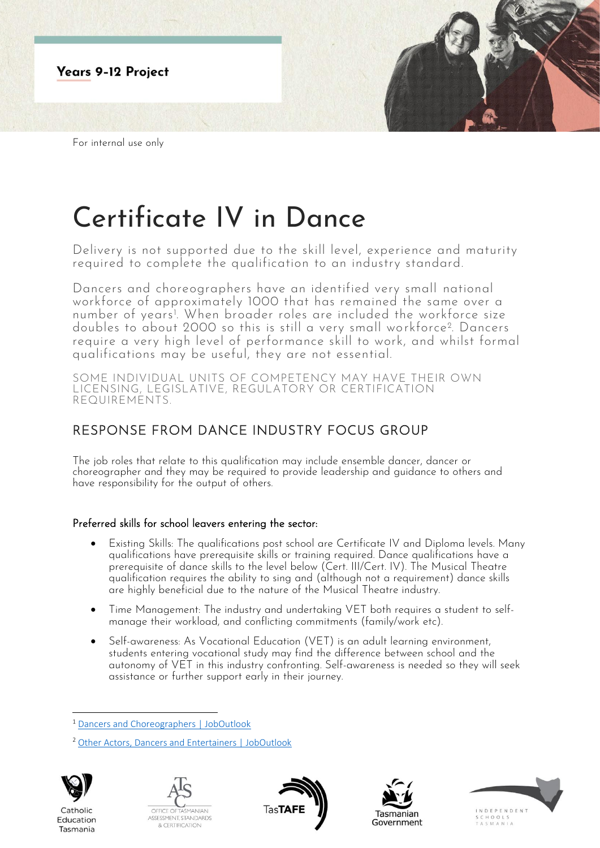

# Certificate IV in Dance

Delivery is not supported due to the skill level, experience and maturity required to complete the qualification to an industry standard.

Dancers and choreographers have an identified very small national workforce of approximately 1000 that has remained the same over a number of years<sup>1</sup> . When broader roles are included the workforce size doubles to about 2000 so this is still a very small workforce<sup>2</sup> . Dancers require a very high level of performance skill to work, and whilst formal qualifications may be useful, they are not essential.

SOME INDIVIDUAL UNITS OF COMPETENCY MAY HAVE THEIR OWN LICENSING, LEGISLATIVE, REGULATORY OR CERTIFICATION REQUIREMENTS.

# RESPONSE FROM DANCE INDUSTRY FOCUS GROUP

The job roles that relate to this qualification may include ensemble dancer, dancer or choreographer and they may be required to provide leadership and guidance to others and have responsibility for the output of others.

## Preferred skills for school leavers entering the sector:

- Existing Skills: The qualifications post school are Certificate IV and Diploma levels. Many qualifications have prerequisite skills or training required. Dance qualifications have a prerequisite of dance skills to the level below (Cert. III/Cert. IV). The Musical Theatre qualification requires the ability to sing and (although not a requirement) dance skills are highly beneficial due to the nature of the Musical Theatre industry.
- Time Management: The industry and undertaking VET both requires a student to selfmanage their workload, and conflicting commitments (family/work etc).
- Self-awareness: As Vocational Education (VET) is an adult learning environment, students entering vocational study may find the difference between school and the autonomy of VET in this industry confronting. Self-awareness is needed so they will seek assistance or further support early in their journey.

<sup>2</sup> [Other Actors, Dancers and Entertainers | JobOutlook](https://joboutlook.gov.au/occupations/other-actors-dancers-and-entertainers?occupationCode=211199)



Catholic

Education

Tasmania









<sup>1</sup> [Dancers and Choreographers | JobOutlook](https://joboutlook.gov.au/occupations/dancers-and-choreographers?occupationCode=211112)